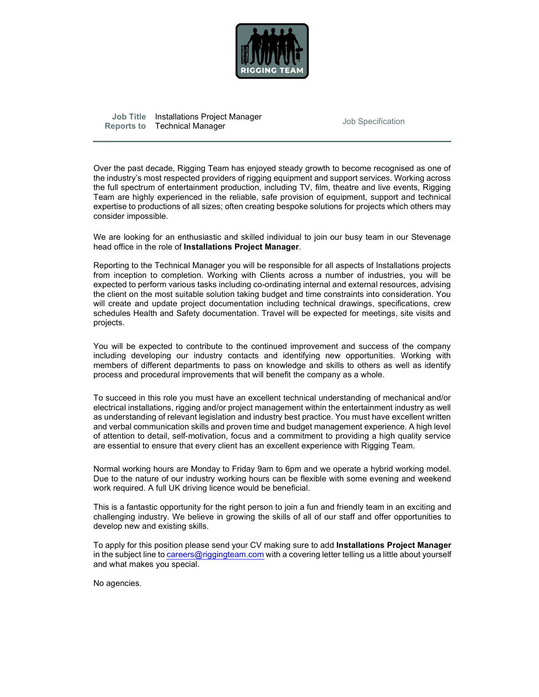

Job Title Installations Project Manager<br>
Reports to Technical Manager<br>
Reports to Technical Manager

Over the past decade, Rigging Team has enjoyed steady growth to become recognised as one of the industry's most respected providers of rigging equipment and support services. Working across the full spectrum of entertainment production, including TV, film, theatre and live events, Rigging Team are highly experienced in the reliable, safe provision of equipment, support and technical expertise to productions of all sizes; often creating bespoke solutions for projects which others may consider impossible.

We are looking for an enthusiastic and skilled individual to join our busy team in our Stevenage<br>head office in the role of **Installations Project Manager**.

Reporting to the Technical Manager you will be responsible for all aspects of Installations projects from inception to completion. Working with Clients across a number of industries, you will be expected to perform various tasks including co-ordinating internal and external resources, advising the client on the most suitable solution taking budget and time constraints into consideration. You will create and update project documentation including technical drawings, specifications, crew schedules Health and Safety documentation. Travel will be expected for meetings, site visits and projects.

You will be expected to contribute to the continued improvement and success of the company including developing our industry contacts and identifying new opportunities. Working with members of different departments to pass on knowledge and skills to others as well as identify process and procedural improvements that will benefit the company as a whole.

To succeed in this role you must have an excellent technical understanding of mechanical and/or electrical installations, rigging and/or project management within the entertainment industry as well as understanding of relevant legislation and industry best practice. You must have excellent written and verbal communication skills and proven time and budget management experience. A high level of attention to detail, self-motivation, focus and a commitment to providing a high quality service are essential to ensure that every client has an excellent experience with Rigging Team.

Normal working hours are Monday to Friday 9am to 6pm and we operate a hybrid working model. Due to the nature of our industry working hours can be flexible with some evening and weekend work required. A full UK driving licence would be beneficial.

This is a fantastic opportunity for the right person to join a fun and friendly team in an exciting and challenging industry. We believe in growing the skills of all of our staff and offer opportunities to develop new and existing skills.

To apply for this position please send your CV making sure to add Installations Project Manager in the subject line to careers@riggingteam.com with a covering letter telling us a little about yourself and what makes you special.

No agencies.